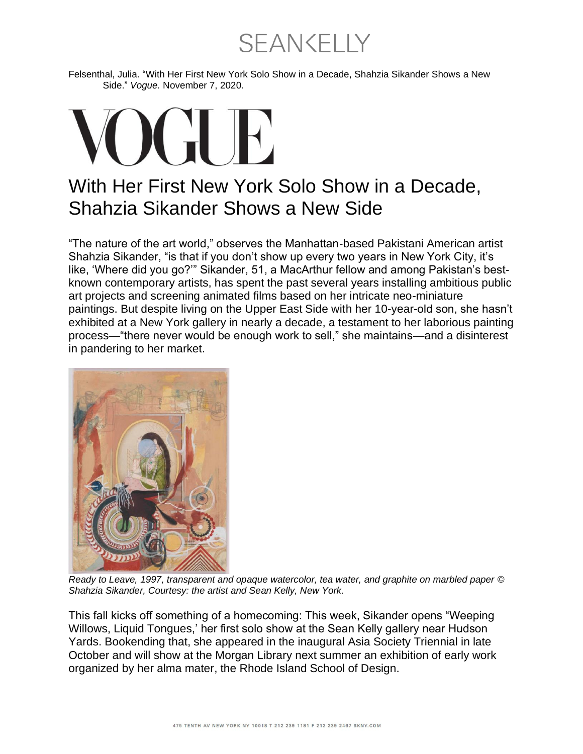**SEANKELLY** 

Felsenthal, Julia. "With Her First New York Solo Show in a Decade, Shahzia Sikander Shows a New Side." *Vogue.* November 7, 2020.

## $\Box$

## With Her First New York Solo Show in a Decade, Shahzia Sikander Shows a New Side

"The nature of the art world," observes the Manhattan-based Pakistani American artist Shahzia Sikander, "is that if you don't show up every two years in New York City, it's like, 'Where did you go?'" Sikander, 51, a MacArthur fellow and among Pakistan's bestknown contemporary artists, has spent the past several years installing ambitious public art projects and screening animated films based on her intricate neo-miniature paintings. But despite living on the Upper East Side with her 10-year-old son, she hasn't exhibited at a New York gallery in nearly a decade, a testament to her laborious painting process—"there never would be enough work to sell," she maintains—and a disinterest in pandering to her market.



*Ready to Leave, 1997, transparent and opaque watercolor, tea water, and graphite on marbled paper © Shahzia Sikander, Courtesy: the artist and Sean Kelly, New York.*

This fall kicks off something of a homecoming: This week, Sikander opens "Weeping Willows, Liquid Tongues,' her first solo show at the Sean Kelly gallery near Hudson Yards. Bookending that, she appeared in the inaugural Asia Society Triennial in late October and will show at the Morgan Library next summer an exhibition of early work organized by her alma mater, the Rhode Island School of Design.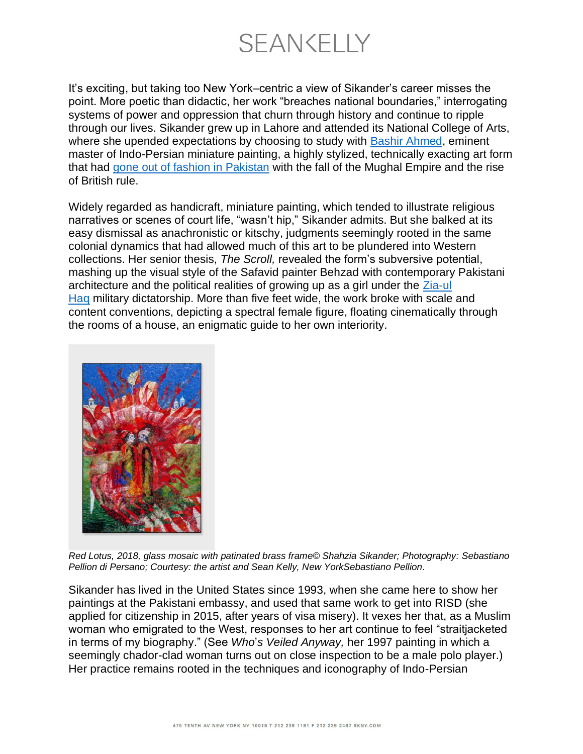**SEANKELLY** 

It's exciting, but taking too New York–centric a view of Sikander's career misses the point. More poetic than didactic, her work "breaches national boundaries," interrogating systems of power and oppression that churn through history and continue to ripple through our lives. Sikander grew up in Lahore and attended its National College of Arts, where she upended expectations by choosing to study with **Bashir Ahmed**, eminent master of Indo-Persian miniature painting, a highly stylized, technically exacting art form that had [gone out of fashion in Pakistan](https://www.nytimes.com/2014/11/04/opinion/shahzia-sikander-the-world-is-yours-the-world-is-mine.html) with the fall of the Mughal Empire and the rise of British rule.

Widely regarded as handicraft, miniature painting, which tended to illustrate religious narratives or scenes of court life, "wasn't hip," Sikander admits. But she balked at its easy dismissal as anachronistic or kitschy, judgments seemingly rooted in the same colonial dynamics that had allowed much of this art to be plundered into Western collections. Her senior thesis, *The Scroll,* revealed the form's subversive potential, mashing up the visual style of the Safavid painter Behzad with contemporary Pakistani architecture and the political realities of growing up as a girl under the [Zia-ul](https://www.nytimes.com/1988/08/18/world/mohammad-zia-ul-haq-unbending-commander-for-era-of-atom-and-islam.html)  [Haq](https://www.nytimes.com/1988/08/18/world/mohammad-zia-ul-haq-unbending-commander-for-era-of-atom-and-islam.html) military dictatorship. More than five feet wide, the work broke with scale and content conventions, depicting a spectral female figure, floating cinematically through the rooms of a house, an enigmatic guide to her own interiority.



*Red Lotus, 2018, glass mosaic with patinated brass frame© Shahzia Sikander; Photography: Sebastiano Pellion di Persano; Courtesy: the artist and Sean Kelly, New YorkSebastiano Pellion.*

Sikander has lived in the United States since 1993, when she came here to show her paintings at the Pakistani embassy, and used that same work to get into RISD (she applied for citizenship in 2015, after years of visa misery). It vexes her that, as a Muslim woman who emigrated to the West, responses to her art continue to feel "straitjacketed in terms of my biography." (See *Who*'*s Veiled Anyway,* her 1997 painting in which a seemingly chador-clad woman turns out on close inspection to be a male polo player.) Her practice remains rooted in the techniques and iconography of Indo-Persian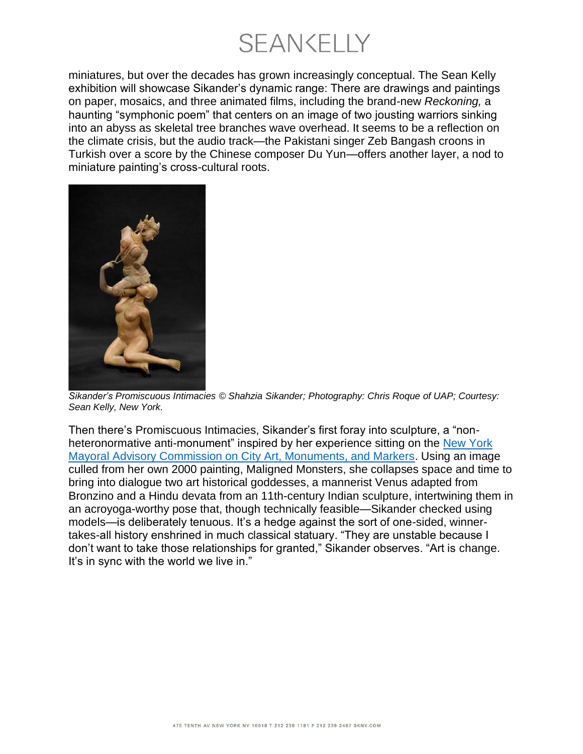**SEANKELLY** 

miniatures, but over the decades has grown increasingly conceptual. The Sean Kelly exhibition will showcase Sikander's dynamic range: There are drawings and paintings on paper, mosaics, and three animated films, including the brand-new *Reckoning,* a haunting "symphonic poem" that centers on an image of two jousting warriors sinking into an abyss as skeletal tree branches wave overhead. It seems to be a reflection on the climate crisis, but the audio track—the Pakistani singer Zeb Bangash croons in Turkish over a score by the Chinese composer Du Yun—offers another layer, a nod to miniature painting's cross-cultural roots.



*Sikander's Promiscuous Intimacies © Shahzia Sikander; Photography: Chris Roque of UAP; Courtesy: Sean Kelly, New York.*

Then there's Promiscuous Intimacies, Sikander's first foray into sculpture, a "nonheteronormative anti-monument" inspired by her experience sitting on the [New York](https://www1.nyc.gov/site/monuments/index.page)  [Mayoral Advisory Commission on City Art, Monuments, and Markers.](https://www1.nyc.gov/site/monuments/index.page) Using an image culled from her own 2000 painting, Maligned Monsters, she collapses space and time to bring into dialogue two art historical goddesses, a mannerist Venus adapted from Bronzino and a Hindu devata from an 11th-century Indian sculpture, intertwining them in an acroyoga-worthy pose that, though technically feasible—Sikander checked using models—is deliberately tenuous. It's a hedge against the sort of one-sided, winnertakes-all history enshrined in much classical statuary. "They are unstable because I don't want to take those relationships for granted," Sikander observes. "Art is change. It's in sync with the world we live in."